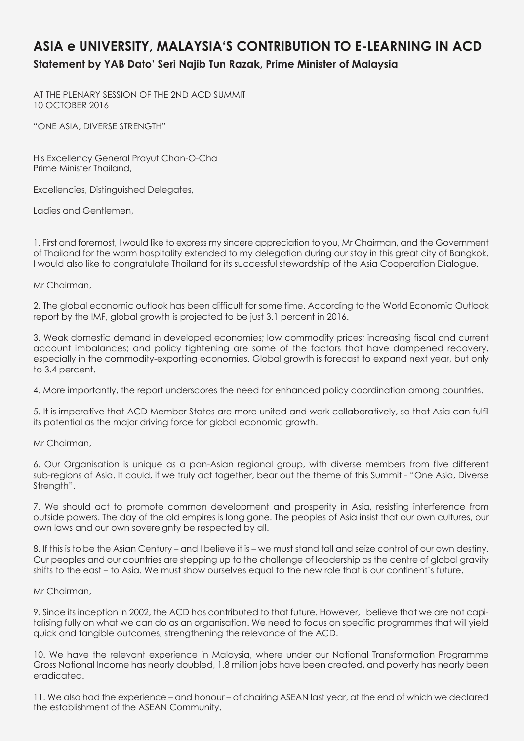## **ASIA e UNIVERSITY, MALAYSIA'S CONTRIBUTION TO E-LEARNING IN ACD Statement by YAB Dato' Seri Najib Tun Razak, Prime Minister of Malaysia**

AT THE PLENARY SESSION OF THE 2ND ACD SUMMIT 10 OCTOBER 2016

"ONE ASIA, DIVERSE STRENGTH"

His Excellency General Prayut Chan-O-Cha Prime Minister Thailand,

Excellencies, Distinguished Delegates,

Ladies and Gentlemen,

1. First and foremost, I would like to express my sincere appreciation to you, Mr Chairman, and the Government of Thailand for the warm hospitality extended to my delegation during our stay in this great city of Bangkok. I would also like to congratulate Thailand for its successful stewardship of the Asia Cooperation Dialogue.

Mr Chairman,

2. The global economic outlook has been difficult for some time. According to the World Economic Outlook report by the IMF, global growth is projected to be just 3.1 percent in 2016.

3. Weak domestic demand in developed economies; low commodity prices; increasing fiscal and current account imbalances; and policy tightening are some of the factors that have dampened recovery, especially in the commodity-exporting economies. Global growth is forecast to expand next year, but only to 3.4 percent.

4. More importantly, the report underscores the need for enhanced policy coordination among countries.

5. It is imperative that ACD Member States are more united and work collaboratively, so that Asia can fulfil its potential as the major driving force for global economic growth.

Mr Chairman,

6. Our Organisation is unique as a pan-Asian regional group, with diverse members from five different sub-regions of Asia. It could, if we truly act together, bear out the theme of this Summit - "One Asia, Diverse Strength".

7. We should act to promote common development and prosperity in Asia, resisting interference from outside powers. The day of the old empires is long gone. The peoples of Asia insist that our own cultures, our own laws and our own sovereignty be respected by all.

8. If this is to be the Asian Century – and I believe it is – we must stand tall and seize control of our own destiny. Our peoples and our countries are stepping up to the challenge of leadership as the centre of global gravity shifts to the east – to Asia. We must show ourselves equal to the new role that is our continent's future.

## Mr Chairman,

9. Since its inception in 2002, the ACD has contributed to that future. However, I believe that we are not capitalising fully on what we can do as an organisation. We need to focus on specific programmes that will yield quick and tangible outcomes, strengthening the relevance of the ACD.

10. We have the relevant experience in Malaysia, where under our National Transformation Programme Gross National Income has nearly doubled, 1.8 million jobs have been created, and poverty has nearly been eradicated.

11. We also had the experience – and honour – of chairing ASEAN last year, at the end of which we declared the establishment of the ASEAN Community.